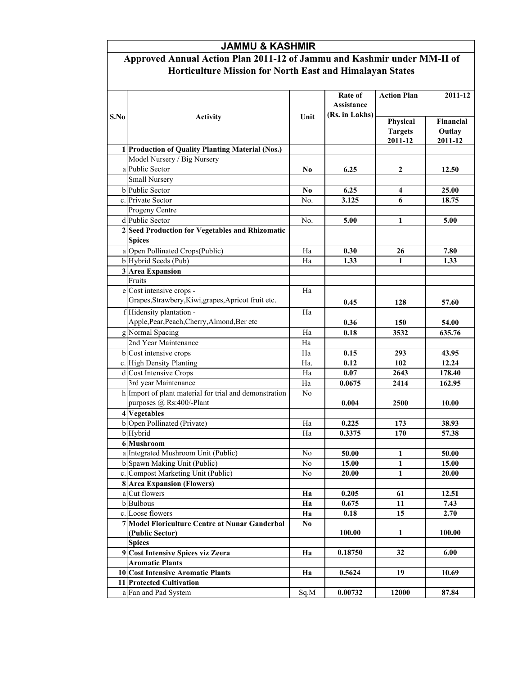## JAMMU & KASHMIR

## Approved Annual Action Plan 2011-12 of Jammu and Kashmir under MM-II of Horticulture Mission for North East and Himalayan States

|      |                                                                                    |                | Rate of<br>Assistance | <b>Action Plan</b>                    | 2011-12                        |
|------|------------------------------------------------------------------------------------|----------------|-----------------------|---------------------------------------|--------------------------------|
| S.No | <b>Activity</b>                                                                    | Unit           | (Rs. in Lakhs)        | Physical<br><b>Targets</b><br>2011-12 | Financial<br>Outlay<br>2011-12 |
|      | 1 Production of Quality Planting Material (Nos.)                                   |                |                       |                                       |                                |
|      | Model Nursery / Big Nursery                                                        |                |                       |                                       |                                |
|      | a Public Sector                                                                    | N <sub>0</sub> | 6.25                  | 2                                     | 12.50                          |
|      | Small Nursery                                                                      |                |                       |                                       |                                |
|      | <b>b</b> Public Sector                                                             | N <sub>0</sub> | 6.25                  | 4                                     | 25.00                          |
|      | c. Private Sector                                                                  | No.            | 3.125                 | 6                                     | 18.75                          |
|      | Progeny Centre                                                                     |                |                       |                                       |                                |
|      | d Public Sector                                                                    | No.            | 5.00                  | 1                                     | 5.00                           |
|      | 2 Seed Production for Vegetables and Rhizomatic                                    |                |                       |                                       |                                |
|      | <b>Spices</b>                                                                      |                |                       |                                       |                                |
|      | a Open Pollinated Crops(Public)                                                    | Ha             | 0.30                  | 26                                    | 7.80                           |
|      | b Hybrid Seeds (Pub)                                                               | Ha             | 1.33                  | 1                                     | 1.33                           |
|      | 3 Area Expansion                                                                   |                |                       |                                       |                                |
|      | Fruits                                                                             |                |                       |                                       |                                |
|      | e Cost intensive crops -                                                           | Ha             |                       |                                       |                                |
|      | Grapes, Strawbery, Kiwi, grapes, Apricot fruit etc.                                |                | 0.45                  | 128                                   | 57.60                          |
|      | f Hidensity plantation -                                                           | Ha             |                       |                                       |                                |
|      | Apple, Pear, Peach, Cherry, Almond, Ber etc                                        |                | 0.36                  | 150                                   | 54.00                          |
|      | g Normal Spacing                                                                   | Ha             | 0.18                  | 3532                                  | 635.76                         |
|      | 2nd Year Maintenance                                                               | Ha             |                       |                                       |                                |
|      | b Cost intensive crops                                                             | Ha             | 0.15                  | 293                                   | 43.95                          |
|      | c. High Density Planting                                                           | Ha.            | 0.12                  | 102                                   | 12.24                          |
|      | d Cost Intensive Crops                                                             | Ha             | 0.07                  | 2643                                  | 178.40                         |
|      | 3rd year Maintenance                                                               | Ha             | 0.0675                | 2414                                  | 162.95                         |
|      | h Import of plant material for trial and demonstration<br>purposes @ Rs:400/-Plant | N <sub>0</sub> | 0.004                 | 2500                                  | 10.00                          |
|      | 4 Vegetables                                                                       |                |                       |                                       |                                |
|      | b Open Pollinated (Private)                                                        | Ha             | 0.225                 | 173                                   | 38.93                          |
|      | b Hybrid                                                                           | Ha             | 0.3375                | 170                                   | 57.38                          |
|      | 6 Mushroom                                                                         |                |                       |                                       |                                |
|      | a Integrated Mushroom Unit (Public)                                                | No             | 50.00                 | 1                                     | 50.00                          |
|      | b Spawn Making Unit (Public)                                                       | N <sub>0</sub> | 15.00                 | 1                                     | 15.00                          |
|      | c. Compost Marketing Unit (Public)                                                 | No             | 20.00                 | 1                                     | 20.00                          |
|      | <b>8</b> Area Expansion (Flowers)                                                  |                |                       |                                       |                                |
|      | a Cut flowers                                                                      | Ha             | 0.205                 | 61                                    | 12.51                          |
|      | b Bulbous                                                                          | Ha             | 0.675                 | 11                                    | 7.43                           |
|      | c. Loose flowers                                                                   | Ha             | 0.18                  | 15                                    | 2.70                           |
|      | 7 Model Floriculture Centre at Nunar Ganderbal                                     | N <sub>0</sub> |                       |                                       |                                |
|      | (Public Sector)                                                                    |                | 100.00                | 1                                     | 100.00                         |
|      | <b>Spices</b>                                                                      |                |                       |                                       |                                |
|      | 9 Cost Intensive Spices viz Zeera                                                  | Ha             | 0.18750               | 32                                    | 6.00                           |
|      | <b>Aromatic Plants</b>                                                             |                |                       |                                       |                                |
|      | 10 Cost Intensive Aromatic Plants                                                  | Ha             | 0.5624                | 19                                    | 10.69                          |
|      | 11 Protected Cultivation                                                           |                |                       |                                       |                                |
|      | a Fan and Pad System                                                               | Sq.M           | 0.00732               | 12000                                 | 87.84                          |
|      |                                                                                    |                |                       |                                       |                                |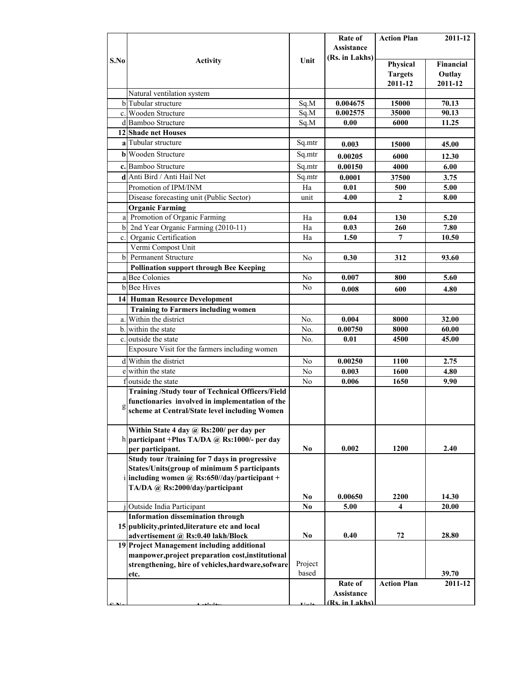|      |                                                                      |                | Rate of           | <b>Action Plan</b> | 2011-12          |
|------|----------------------------------------------------------------------|----------------|-------------------|--------------------|------------------|
|      |                                                                      |                | <b>Assistance</b> |                    |                  |
| S.No | <b>Activity</b>                                                      | Unit           | (Rs. in Lakhs)    |                    |                  |
|      |                                                                      |                |                   | Physical           | <b>Financial</b> |
|      |                                                                      |                |                   | <b>Targets</b>     | Outlay           |
|      |                                                                      |                |                   | 2011-12            | 2011-12          |
|      | Natural ventilation system                                           |                |                   |                    |                  |
|      | b Tubular structure                                                  | Sq.M           | 0.004675          | 15000              | 70.13            |
|      | c. Wooden Structure                                                  | Sq.M           | 0.002575          | 35000              | 90.13            |
|      | d Bamboo Structure                                                   | Sq.M           | 0.00              | 6000               | 11.25            |
|      | 12 Shade net Houses                                                  |                |                   |                    |                  |
|      | a Tubular structure                                                  | Sq.mtr         | 0.003             | 15000              | 45.00            |
|      | <b>b</b> Wooden Structure                                            | Sq.mtr         |                   |                    |                  |
|      |                                                                      |                | 0.00205           | 6000               | 12.30            |
|      | c. Bamboo Structure                                                  | Sq.mtr         | 0.00150           | 4000               | 6.00             |
|      | d Anti Bird / Anti Hail Net                                          | Sq.mtr         | 0.0001            | 37500              | 3.75             |
|      | Promotion of IPM/INM                                                 | Ha             | 0.01              | 500                | 5.00             |
|      | Disease forecasting unit (Public Sector)                             | unit           | 4.00              | $\mathbf{2}$       | 8.00             |
|      | <b>Organic Farming</b>                                               |                |                   |                    |                  |
|      | a Promotion of Organic Farming                                       | Ha             | 0.04              | 130                | 5.20             |
|      | b 2nd Year Organic Farming (2010-11)                                 | Ha             | 0.03              | 260                | 7.80             |
|      | c. Organic Certification                                             | Ha             | 1.50              | 7                  | 10.50            |
|      | Vermi Compost Unit                                                   |                |                   |                    |                  |
|      | b Permanent Structure                                                | N <sub>0</sub> | 0.30              | 312                | 93.60            |
|      | <b>Pollination support through Bee Keeping</b>                       |                |                   |                    |                  |
|      | a Bee Colonies                                                       | No             | 0.007             | 800                | 5.60             |
|      | <b>b</b> Bee Hives                                                   | No.            | 0.008             | 600                | 4.80             |
|      |                                                                      |                |                   |                    |                  |
|      | <b>14 Human Resource Development</b>                                 |                |                   |                    |                  |
|      | <b>Training to Farmers including women</b><br>a. Within the district |                |                   |                    |                  |
|      |                                                                      | No.            | 0.004             | 8000               | 32.00            |
|      | b. within the state                                                  | No.            | 0.00750           | 8000               | 60.00            |
|      | c. outside the state                                                 | No.            | 0.01              | 4500               | 45.00            |
|      | Exposure Visit for the farmers including women                       |                |                   |                    |                  |
|      | d Within the district                                                | No.            | 0.00250           | <b>1100</b>        | 2.75             |
|      | e within the state                                                   | No.            | 0.003             | 1600               | 4.80             |
| f    | outside the state                                                    | N <sub>o</sub> | 0.006             | 1650               | 9.90             |
|      | <b>Training /Study tour of Technical Officers/Field</b>              |                |                   |                    |                  |
|      | functionaries involved in implementation of the                      |                |                   |                    |                  |
| g    | scheme at Central/State level including Women                        |                |                   |                    |                  |
|      |                                                                      |                |                   |                    |                  |
|      | Within State 4 day @ Rs:200/ per day per                             |                |                   |                    |                  |
|      | h participant + Plus TA/DA @ Rs:1000/- per day                       |                |                   |                    |                  |
|      | per participant.                                                     | N <sub>0</sub> | 0.002             | 1200               | 2.40             |
|      | Study tour /training for 7 days in progressive                       |                |                   |                    |                  |
|      | States/Units(group of minimum 5 participants                         |                |                   |                    |                  |
|      | i including women @ Rs:650//day/participant +                        |                |                   |                    |                  |
|      | TA/DA @ Rs:2000/day/participant                                      |                |                   |                    |                  |
|      |                                                                      | N <sub>0</sub> | 0.00650           | 2200               | 14.30            |
|      | Outside India Participant                                            | N <sub>0</sub> | 5.00              | 4                  | 20.00            |
|      | <b>Information dissemination through</b>                             |                |                   |                    |                  |
|      | 15 publicity, printed, literature etc and local                      |                |                   |                    |                  |
|      | advertisement @ Rs:0.40 lakh/Block                                   | No.            | 0.40              | 72                 | 28.80            |
|      | 19 Project Management including additional                           |                |                   |                    |                  |
|      | manpower, project preparation cost, institutional                    |                |                   |                    |                  |
|      | strengthening, hire of vehicles, hardware, sofware                   | Project        |                   |                    |                  |
|      | etc.                                                                 | based          |                   |                    | 39.70            |
|      |                                                                      |                | Rate of           | <b>Action Plan</b> | 2011-12          |
|      |                                                                      |                | Assistance        |                    |                  |
|      |                                                                      |                | (Rs. in Lakhs)    |                    |                  |